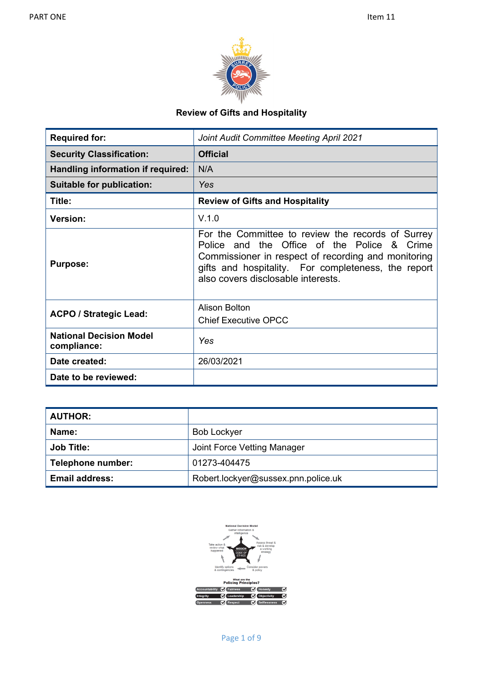

# **Review of Gifts and Hospitality**

| <b>Required for:</b>                          | Joint Audit Committee Meeting April 2021                                                                                                                                                                                                             |
|-----------------------------------------------|------------------------------------------------------------------------------------------------------------------------------------------------------------------------------------------------------------------------------------------------------|
| <b>Security Classification:</b>               | <b>Official</b>                                                                                                                                                                                                                                      |
| Handling information if required:             | N/A                                                                                                                                                                                                                                                  |
| <b>Suitable for publication:</b>              | Yes                                                                                                                                                                                                                                                  |
| Title:                                        | <b>Review of Gifts and Hospitality</b>                                                                                                                                                                                                               |
| <b>Version:</b>                               | V.1.0                                                                                                                                                                                                                                                |
| <b>Purpose:</b>                               | For the Committee to review the records of Surrey<br>Police and the Office of the Police & Crime<br>Commissioner in respect of recording and monitoring<br>gifts and hospitality. For completeness, the report<br>also covers disclosable interests. |
| <b>ACPO / Strategic Lead:</b>                 | Alison Bolton<br><b>Chief Executive OPCC</b>                                                                                                                                                                                                         |
| <b>National Decision Model</b><br>compliance: | <b>Yes</b>                                                                                                                                                                                                                                           |
| Date created:                                 | 26/03/2021                                                                                                                                                                                                                                           |
| Date to be reviewed:                          |                                                                                                                                                                                                                                                      |

| <b>AUTHOR:</b>        |                                     |
|-----------------------|-------------------------------------|
| Name:                 | <b>Bob Lockyer</b>                  |
| <b>Job Title:</b>     | Joint Force Vetting Manager         |
| Telephone number:     | 01273-404475                        |
| <b>Email address:</b> | Robert.lockyer@sussex.pnn.police.uk |

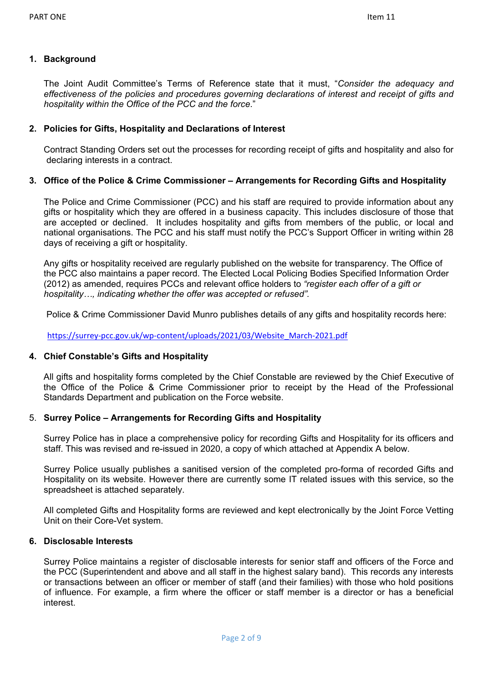### **1. Background**

The Joint Audit Committee's Terms of Reference state that it must, "*Consider the adequacy and effectiveness of the policies and procedures governing declarations of interest and receipt of gifts and hospitality within the Office of the PCC and the force*."

#### **2. Policies for Gifts, Hospitality and Declarations of Interest**

Contract Standing Orders set out the processes for recording receipt of gifts and hospitality and also for declaring interests in a contract.

### **3. Office of the Police & Crime Commissioner – Arrangements for Recording Gifts and Hospitality**

The Police and Crime Commissioner (PCC) and his staff are required to provide information about any gifts or hospitality which they are offered in a business capacity. This includes disclosure of those that are accepted or declined. It includes hospitality and gifts from members of the public, or local and national organisations. The PCC and his staff must notify the PCC's Support Officer in writing within 28 days of receiving a gift or hospitality.

Any gifts or hospitality received are regularly published on the website for transparency. The Office of the PCC also maintains a paper record. The Elected Local Policing Bodies Specified Information Order (2012) as amended, requires PCCs and relevant office holders to *"register each offer of a gift or hospitality…, indicating whether the offer was accepted or refused".*

Police & Crime Commissioner David Munro publishes details of any gifts and hospitality records here:

[https://surrey-pcc.gov.uk/wp-content/uploads/2021/03/Website\\_March-2021.pdf](https://surrey-pcc.gov.uk/wp-content/uploads/2021/03/Website_March-2021.pdf)

### **4. Chief Constable's Gifts and Hospitality**

All gifts and hospitality forms completed by the Chief Constable are reviewed by the Chief Executive of the Office of the Police & Crime Commissioner prior to receipt by the Head of the Professional Standards Department and publication on the Force website.

### 5. **Surrey Police – Arrangements for Recording Gifts and Hospitality**

Surrey Police has in place a comprehensive policy for recording Gifts and Hospitality for its officers and staff. This was revised and re-issued in 2020, a copy of which attached at Appendix A below.

Surrey Police usually publishes a sanitised version of the completed pro-forma of recorded Gifts and Hospitality on its website. However there are currently some IT related issues with this service, so the spreadsheet is attached separately.

All completed Gifts and Hospitality forms are reviewed and kept electronically by the Joint Force Vetting Unit on their Core-Vet system.

#### **6. Disclosable Interests**

Surrey Police maintains a register of disclosable interests for senior staff and officers of the Force and the PCC (Superintendent and above and all staff in the highest salary band). This records any interests or transactions between an officer or member of staff (and their families) with those who hold positions of influence. For example, a firm where the officer or staff member is a director or has a beneficial interest.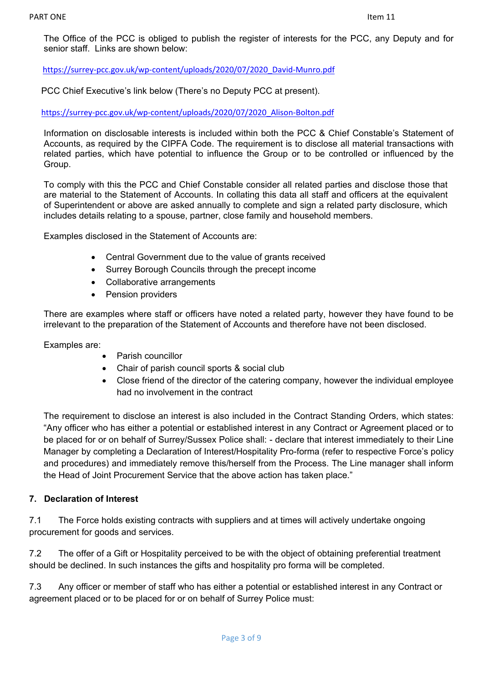The Office of the PCC is obliged to publish the register of interests for the PCC, any Deputy and for senior staff. Links are shown below:

[https://surrey-pcc.gov.uk/wp-content/uploads/2020/07/2020\\_David-Munro.pdf](https://surrey-pcc.gov.uk/wp-content/uploads/2020/07/2020_David-Munro.pdf)

PCC Chief Executive's link below (There's no Deputy PCC at present).

[https://surrey-pcc.gov.uk/wp-content/uploads/2020/07/2020\\_Alison-Bolton.pdf](https://surrey-pcc.gov.uk/wp-content/uploads/2020/07/2020_Alison-Bolton.pdf)

Information on disclosable interests is included within both the PCC & Chief Constable's Statement of Accounts, as required by the CIPFA Code. The requirement is to disclose all material transactions with related parties, which have potential to influence the Group or to be controlled or influenced by the Group.

To comply with this the PCC and Chief Constable consider all related parties and disclose those that are material to the Statement of Accounts. In collating this data all staff and officers at the equivalent of Superintendent or above are asked annually to complete and sign a related party disclosure, which includes details relating to a spouse, partner, close family and household members.

Examples disclosed in the Statement of Accounts are:

- Central Government due to the value of grants received
- Surrey Borough Councils through the precept income
- Collaborative arrangements
- Pension providers

There are examples where staff or officers have noted a related party, however they have found to be irrelevant to the preparation of the Statement of Accounts and therefore have not been disclosed.

Examples are:

- Parish councillor
- Chair of parish council sports & social club
- Close friend of the director of the catering company, however the individual employee had no involvement in the contract

The requirement to disclose an interest is also included in the Contract Standing Orders, which states: "Any officer who has either a potential or established interest in any Contract or Agreement placed or to be placed for or on behalf of Surrey/Sussex Police shall: - declare that interest immediately to their Line Manager by completing a Declaration of Interest/Hospitality Pro-forma (refer to respective Force's policy and procedures) and immediately remove this/herself from the Process. The Line manager shall inform the Head of Joint Procurement Service that the above action has taken place."

### **7. Declaration of Interest**

7.1 The Force holds existing contracts with suppliers and at times will actively undertake ongoing procurement for goods and services.

7.2 The offer of a Gift or Hospitality perceived to be with the object of obtaining preferential treatment should be declined. In such instances the gifts and hospitality pro forma will be completed.

7.3 Any officer or member of staff who has either a potential or established interest in any Contract or agreement placed or to be placed for or on behalf of Surrey Police must: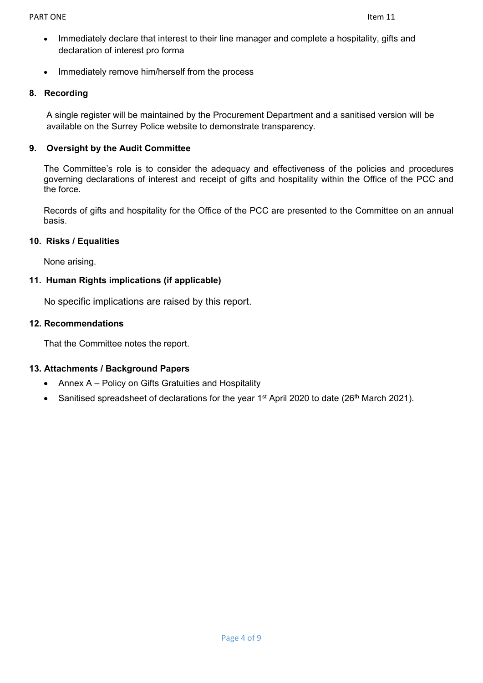- Immediately declare that interest to their line manager and complete a hospitality, gifts and declaration of interest pro forma
- Immediately remove him/herself from the process

### **8. Recording**

A single register will be maintained by the Procurement Department and a sanitised version will be available on the Surrey Police website to demonstrate transparency.

### **9. Oversight by the Audit Committee**

The Committee's role is to consider the adequacy and effectiveness of the policies and procedures governing declarations of interest and receipt of gifts and hospitality within the Office of the PCC and the force.

Records of gifts and hospitality for the Office of the PCC are presented to the Committee on an annual basis.

### **10. Risks / Equalities**

None arising.

### **11. Human Rights implications (if applicable)**

No specific implications are raised by this report.

### **12. Recommendations**

That the Committee notes the report.

## **13. Attachments / Background Papers**

- Annex A Policy on Gifts Gratuities and Hospitality
- Sanitised spreadsheet of declarations for the year 1<sup>st</sup> April 2020 to date (26<sup>th</sup> March 2021).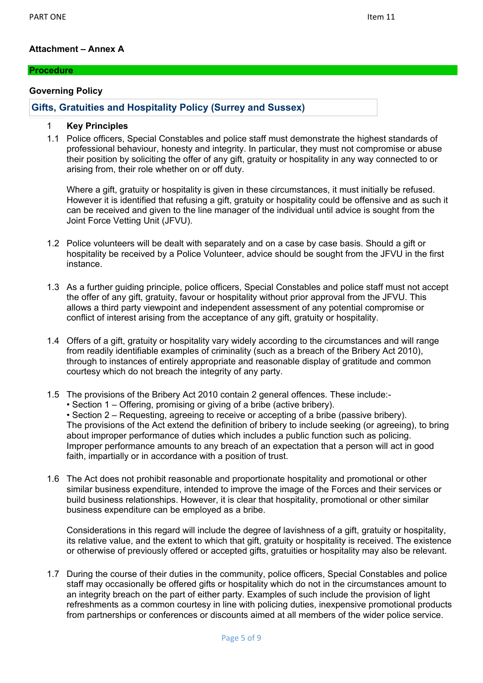### **Attachment – Annex A**

#### **Procedure**

#### **Governing Policy**

### **Gifts, Gratuities and Hospitality Policy (Surrey and Sussex)**

#### 1 **Key Principles**

1.1 Police officers, Special Constables and police staff must demonstrate the highest standards of professional behaviour, honesty and integrity. In particular, they must not compromise or abuse their position by soliciting the offer of any gift, gratuity or hospitality in any way connected to or arising from, their role whether on or off duty.

Where a gift, gratuity or hospitality is given in these circumstances, it must initially be refused. However it is identified that refusing a gift, gratuity or hospitality could be offensive and as such it can be received and given to the line manager of the individual until advice is sought from the Joint Force Vetting Unit (JFVU).

- 1.2 Police volunteers will be dealt with separately and on a case by case basis. Should a gift or hospitality be received by a Police Volunteer, advice should be sought from the JFVU in the first instance.
- 1.3 As a further guiding principle, police officers, Special Constables and police staff must not accept the offer of any gift, gratuity, favour or hospitality without prior approval from the JFVU. This allows a third party viewpoint and independent assessment of any potential compromise or conflict of interest arising from the acceptance of any gift, gratuity or hospitality.
- 1.4 Offers of a gift, gratuity or hospitality vary widely according to the circumstances and will range from readily identifiable examples of criminality (such as a breach of the Bribery Act 2010), through to instances of entirely appropriate and reasonable display of gratitude and common courtesy which do not breach the integrity of any party.
- 1.5 The provisions of the Bribery Act 2010 contain 2 general offences. These include:-
	- Section 1 Offering, promising or giving of a bribe (active bribery).

• Section 2 – Requesting, agreeing to receive or accepting of a bribe (passive bribery). The provisions of the Act extend the definition of bribery to include seeking (or agreeing), to bring about improper performance of duties which includes a public function such as policing. Improper performance amounts to any breach of an expectation that a person will act in good faith, impartially or in accordance with a position of trust.

1.6 The Act does not prohibit reasonable and proportionate hospitality and promotional or other similar business expenditure, intended to improve the image of the Forces and their services or build business relationships. However, it is clear that hospitality, promotional or other similar business expenditure can be employed as a bribe.

Considerations in this regard will include the degree of lavishness of a gift, gratuity or hospitality, its relative value, and the extent to which that gift, gratuity or hospitality is received. The existence or otherwise of previously offered or accepted gifts, gratuities or hospitality may also be relevant.

1.7 During the course of their duties in the community, police officers, Special Constables and police staff may occasionally be offered gifts or hospitality which do not in the circumstances amount to an integrity breach on the part of either party. Examples of such include the provision of light refreshments as a common courtesy in line with policing duties, inexpensive promotional products from partnerships or conferences or discounts aimed at all members of the wider police service.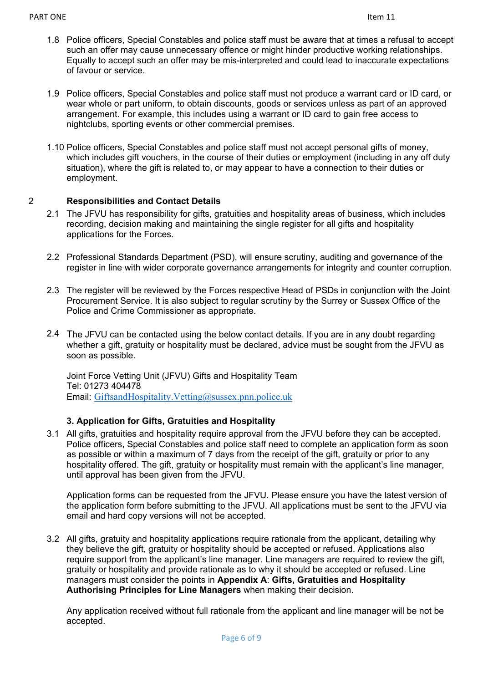- 1.8 Police officers, Special Constables and police staff must be aware that at times a refusal to accept such an offer may cause unnecessary offence or might hinder productive working relationships. Equally to accept such an offer may be mis-interpreted and could lead to inaccurate expectations of favour or service.
- 1.9 Police officers, Special Constables and police staff must not produce a warrant card or ID card, or wear whole or part uniform, to obtain discounts, goods or services unless as part of an approved arrangement. For example, this includes using a warrant or ID card to gain free access to nightclubs, sporting events or other commercial premises.
- 1.10 Police officers, Special Constables and police staff must not accept personal gifts of money, which includes gift vouchers, in the course of their duties or employment (including in any off duty situation), where the gift is related to, or may appear to have a connection to their duties or employment.

## 2 **Responsibilities and Contact Details**

- 2.1 The JFVU has responsibility for gifts, gratuities and hospitality areas of business, which includes recording, decision making and maintaining the single register for all gifts and hospitality applications for the Forces.
- 2.2 Professional Standards Department (PSD), will ensure scrutiny, auditing and governance of the register in line with wider corporate governance arrangements for integrity and counter corruption.
- 2.3 The register will be reviewed by the Forces respective Head of PSDs in conjunction with the Joint Procurement Service. It is also subject to regular scrutiny by the Surrey or Sussex Office of the Police and Crime Commissioner as appropriate.
- 2.4 The JFVU can be contacted using the below contact details. If you are in any doubt regarding whether a gift, gratuity or hospitality must be declared, advice must be sought from the JFVU as soon as possible.

Joint Force Vetting Unit (JFVU) Gifts and Hospitality Team Tel: 01273 404478 Email: [GiftsandHospitality.Vetting@sussex.pnn.police.uk](mailto:GiftsandHospitality.Vetting@sussex.pnn.police.uk)

## **3. Application for Gifts, Gratuities and Hospitality**

3.1 All gifts, gratuities and hospitality require approval from the JFVU before they can be accepted. Police officers, Special Constables and police staff need to complete an application form as soon as possible or within a maximum of 7 days from the receipt of the gift, gratuity or prior to any hospitality offered. The gift, gratuity or hospitality must remain with the applicant's line manager, until approval has been given from the JFVU.

Application forms can be requested from the JFVU. Please ensure you have the latest version of the application form before submitting to the JFVU. All applications must be sent to the JFVU via email and hard copy versions will not be accepted.

3.2 All gifts, gratuity and hospitality applications require rationale from the applicant, detailing why they believe the gift, gratuity or hospitality should be accepted or refused. Applications also require support from the applicant's line manager. Line managers are required to review the gift, gratuity or hospitality and provide rationale as to why it should be accepted or refused. Line managers must consider the points in **Appendix A**: **Gifts, Gratuities and Hospitality Authorising Principles for Line Managers** when making their decision.

Any application received without full rationale from the applicant and line manager will be not be accepted.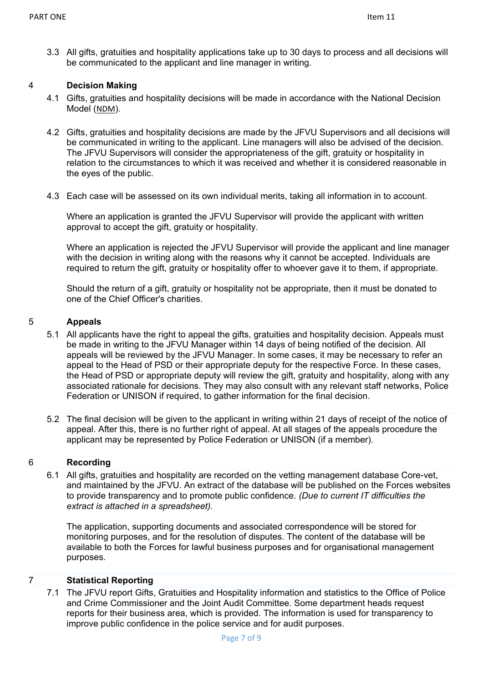3.3 All gifts, gratuities and hospitality applications take up to 30 days to process and all decisions will be communicated to the applicant and line manager in writing.

### 4 **Decision Making**

- 4.1 Gifts, gratuities and hospitality decisions will be made in accordance with the National Decision Model ([NDM](https://www.app.college.police.uk/app-content/national-decision-model/the-national-decision-model/)).
- 4.2 Gifts, gratuities and hospitality decisions are made by the JFVU Supervisors and all decisions will be communicated in writing to the applicant. Line managers will also be advised of the decision. The JFVU Supervisors will consider the appropriateness of the gift, gratuity or hospitality in relation to the circumstances to which it was received and whether it is considered reasonable in the eyes of the public.
- 4.3 Each case will be assessed on its own individual merits, taking all information in to account.

Where an application is granted the JFVU Supervisor will provide the applicant with written approval to accept the gift, gratuity or hospitality.

Where an application is rejected the JFVU Supervisor will provide the applicant and line manager with the decision in writing along with the reasons why it cannot be accepted. Individuals are required to return the gift, gratuity or hospitality offer to whoever gave it to them, if appropriate.

Should the return of a gift, gratuity or hospitality not be appropriate, then it must be donated to one of the Chief Officer's charities.

#### 5 **Appeals**

- 5.1 All applicants have the right to appeal the gifts, gratuities and hospitality decision. Appeals must be made in writing to the JFVU Manager within 14 days of being notified of the decision. All appeals will be reviewed by the JFVU Manager. In some cases, it may be necessary to refer an appeal to the Head of PSD or their appropriate deputy for the respective Force. In these cases, the Head of PSD or appropriate deputy will review the gift, gratuity and hospitality, along with any associated rationale for decisions. They may also consult with any relevant staff networks, Police Federation or UNISON if required, to gather information for the final decision.
- 5.2 The final decision will be given to the applicant in writing within 21 days of receipt of the notice of appeal. After this, there is no further right of appeal. At all stages of the appeals procedure the applicant may be represented by Police Federation or UNISON (if a member).

#### 6 **Recording**

6.1 All gifts, gratuities and hospitality are recorded on the vetting management database Core-vet, and maintained by the JFVU. An extract of the database will be published on the Forces websites to provide transparency and to promote public confidence. *(Due to current IT difficulties the extract is attached in a spreadsheet).*

The application, supporting documents and associated correspondence will be stored for monitoring purposes, and for the resolution of disputes. The content of the database will be available to both the Forces for lawful business purposes and for organisational management purposes.

### 7 **Statistical Reporting**

7.1 The JFVU report Gifts, Gratuities and Hospitality information and statistics to the Office of Police and Crime Commissioner and the Joint Audit Committee. Some department heads request reports for their business area, which is provided. The information is used for transparency to improve public confidence in the police service and for audit purposes.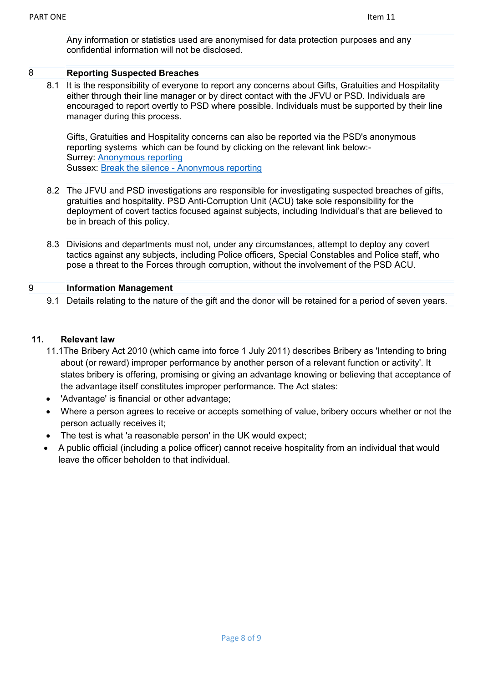Any information or statistics used are anonymised for data protection purposes and any confidential information will not be disclosed.

### 8 **Reporting Suspected Breaches**

8.1 It is the responsibility of everyone to report any concerns about Gifts, Gratuities and Hospitality either through their line manager or by direct contact with the JFVU or PSD. Individuals are encouraged to report overtly to PSD where possible. Individuals must be supported by their line manager during this process.

Gifts, Gratuities and Hospitality concerns can also be reported via the PSD's anonymous reporting systems which can be found by clicking on the relevant link below:- Surrey: [Anonymous reporting](http://anonymous/BTSSURREY/) Sussex: Break the silence - [Anonymous reporting](http://web2/bts/)

- 8.2 The JFVU and PSD investigations are responsible for investigating suspected breaches of gifts, gratuities and hospitality. PSD Anti-Corruption Unit (ACU) take sole responsibility for the deployment of covert tactics focused against subjects, including Individual's that are believed to be in breach of this policy.
- 8.3 Divisions and departments must not, under any circumstances, attempt to deploy any covert tactics against any subjects, including Police officers, Special Constables and Police staff, who pose a threat to the Forces through corruption, without the involvement of the PSD ACU.

## 9 **Information Management**

9.1 Details relating to the nature of the gift and the donor will be retained for a period of seven years.

### **11. Relevant law**

- 11.1The Bribery Act 2010 (which came into force 1 July 2011) describes Bribery as 'Intending to bring about (or reward) improper performance by another person of a relevant function or activity'. It states bribery is offering, promising or giving an advantage knowing or believing that acceptance of the advantage itself constitutes improper performance. The Act states:
- 'Advantage' is financial or other advantage;
- Where a person agrees to receive or accepts something of value, bribery occurs whether or not the person actually receives it;
- The test is what 'a reasonable person' in the UK would expect;
- A public official (including a police officer) cannot receive hospitality from an individual that would leave the officer beholden to that individual.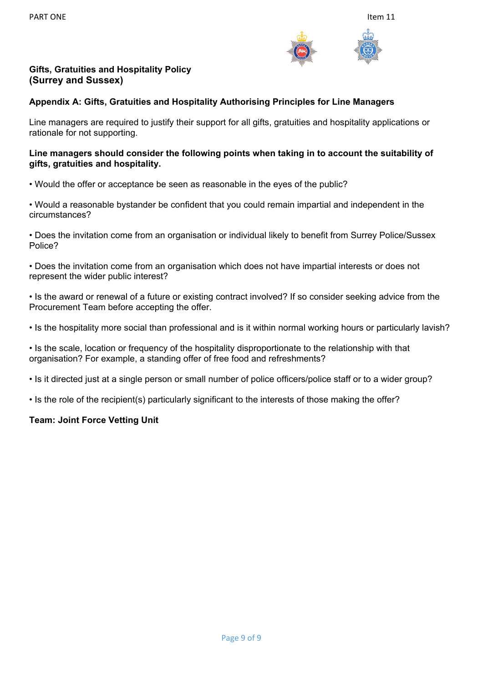

# **Gifts, Gratuities and Hospitality Policy (Surrey and Sussex)**

### **Appendix A: Gifts, Gratuities and Hospitality Authorising Principles for Line Managers**

Line managers are required to justify their support for all gifts, gratuities and hospitality applications or rationale for not supporting.

### **Line managers should consider the following points when taking in to account the suitability of gifts, gratuities and hospitality.**

• Would the offer or acceptance be seen as reasonable in the eyes of the public?

• Would a reasonable bystander be confident that you could remain impartial and independent in the circumstances?

• Does the invitation come from an organisation or individual likely to benefit from Surrey Police/Sussex Police?

• Does the invitation come from an organisation which does not have impartial interests or does not represent the wider public interest?

• Is the award or renewal of a future or existing contract involved? If so consider seeking advice from the Procurement Team before accepting the offer.

• Is the hospitality more social than professional and is it within normal working hours or particularly lavish?

• Is the scale, location or frequency of the hospitality disproportionate to the relationship with that organisation? For example, a standing offer of free food and refreshments?

• Is it directed just at a single person or small number of police officers/police staff or to a wider group?

• Is the role of the recipient(s) particularly significant to the interests of those making the offer?

## **Team: Joint Force Vetting Unit**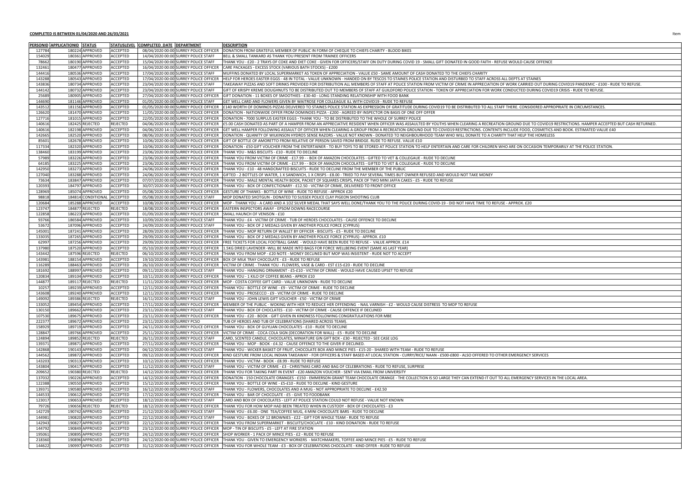#### **COMPLETED IS BETWEEN 01/04/2020 AND 26/03/2021** Item

|                  | <b>PERSONID APPLICATIONID</b> | <b>STATUS</b>                      | <b>STATUSLEVEL</b>                 | COMPLETED_DATE  DEPARTMENT   |                                                                                | <b>DESCRIPTION</b>                                                                                                                                                        |
|------------------|-------------------------------|------------------------------------|------------------------------------|------------------------------|--------------------------------------------------------------------------------|---------------------------------------------------------------------------------------------------------------------------------------------------------------------------|
| 127784           |                               | 180224 APPROVED                    | <b>ACCEPTED</b>                    |                              | 08/04/2020 00:00 SURREY POLICE OFFICER                                         | DONATION FROM GRATEFUL MEMBER OF PUBLIC IN FORM OF CHEQUE TO CHIEFS CHARITY - BLO                                                                                         |
| 154029           |                               | 180361 APPROVED                    | <b>ACCEPTED</b>                    |                              | 14/04/2020 00:00 SURREY POLICE STAFF                                           | BELL & SMALL TANKARD AS THANK YOU PRESENT FROM TRAINEE OFFICERS                                                                                                           |
| 78662            |                               | 180190 APPROVED                    | <b>ACCEPTED</b>                    |                              | 15/04/2020 00:00 SURREY POLICE STAFF                                           | THANK YOU - £20 - 2 TRAYS OF COKE AND DIET COKE - GIVEN FOR OFFICERS/STAFF ON DUTY DUR                                                                                    |
| 132461           |                               | 180477 APPROVED                    | <b>ACCEPTED</b>                    |                              | 16/04/2020 00:00 SURREY POLICE OFFICER                                         | CARE PACKAGES - EXCESS STOCK (VARIOUS BATH STOCKS) - £200                                                                                                                 |
| 144416           |                               | 180536 APPROVED                    | <b>ACCEPTED</b>                    |                              | 17/04/2020 00:00 SURREY POLICE STAFF                                           | MUFFINS DONATED BY LOCAL SUPERMARKET AS TOKEN OF APPRECIATION - VALUE £50 - SAME AI                                                                                       |
| 143288           |                               | 180543 APPROVED                    | <b>ACCEPTED</b>                    |                              | 17/04/2020 00:00 SURREY POLICE OFFICER                                         | HELP FOR HEROES EASTER EGGS - 48 IN TOTAL - VALUE UNKNOWN - HANDED ON BY TESCOS TO S                                                                                      |
| 143836           |                               | 180734 APPROVED                    | <b>ACCEPTED</b>                    |                              | 23/04/2020 00:00 SURREY POLICE STAFF                                           | TAKEAWAY PIZZAS AND SOFT DRINKS PROVIDED FOR DISTRIBUTION ALL MEMBERS OF STAFF AT P                                                                                       |
| 144142           |                               | 180732 APPROVED                    | <b>ACCEPTED</b>                    |                              | 23/04/2020 00:00 SURREY POLICE STAFF                                           | GIFT OF KRISPY KREME DOUGHNUTS TO BE DISTRIBUTED OUT TO MEMBERS OF STAFF AT GUILDF                                                                                        |
| 25689            |                               | 180905 APPROVED                    | <b>ACCEPTED</b>                    |                              | 27/04/2020 00:00 SURREY POLICE OFFICER                                         | GIFT DONATION - 11 BOXES OF SMOOTHIES - £30-40 - LONG STANDING RELATIONSHIP WITH FOO                                                                                      |
| 144690           |                               | 181146 APPROVED                    | <b>ACCEPTED</b>                    |                              | 01/05/2020 00:00 SURREY POLICE STAFF                                           | GET WELL CARD AND FLOWERS GIVEN BY WAITROSE FOR COLLEAGUE ILL WITH COVID19 - RUDE T                                                                                       |
| 143512           |                               | 181156 APPROVED                    | <b>ACCEPTED</b>                    |                              | 01/05/2020 00:00 SURREY POLICE OFFICER                                         | E140 WORTH OF DOMINOS PIZZAS DELIVERED TO STAINES POLICE STATION AS EXPRESSION OF GI                                                                                      |
| 126620           |                               | 181470 APPROVED                    | <b>ACCEPTED</b>                    |                              | 11/05/2020 00:00 SURREY POLICE OFFICER                                         | DONATION - NATIONWIDE OFFER FROM DOMINOES PIZZA - £200 - AGREED BY INSPECTOR ON BA                                                                                        |
| 127716           |                               | 181015 APPROVED                    | <b>ACCEPTED</b>                    |                              | 22/05/2020 00:00 SURREY POLICE OFFICER                                         | DONATION - 7000 SURPLUS EASTER EGGS - THANK YOU - TO BE DISTRIBUTED TO THE WHOLE OF S                                                                                     |
| 140616           |                               | 182425 REJECTED                    | <b>REJECTED</b>                    |                              | 04/06/2020 00:00 SURREY POLICE OFFICER                                         | E5.00 CASH DONATED AS PART OF A HAMPER FROM AN APPRECIATIVE RESIDENT WHEN OFFICER                                                                                         |
| 140616           |                               | 182198 APPROVED                    | <b>ACCEPTED</b>                    |                              | 04/06/2020 14:11 SURREY POLICE OFFICER                                         | GET WELL HAMPER FOLLOWING ASSAULT OF OFFICER WHEN CLEARING A GROUP FROM A RECREA                                                                                          |
| 142665           |                               | 182520 APPROVED                    | <b>ACCEPTED</b>                    |                              | 08/06/2020 00:00 SURREY POLICE OFFICER                                         | DONATION - QUANITY OF WILKINSON HYDRO5 SENSE RAZORS - VALUE NOT KNOWN - DONATED 1                                                                                         |
| 85601            |                               | 182678 APPROVED                    | <b>ACCEPTED</b>                    |                              | 10/06/2020 00:00 SURREY POLICE OFFICER                                         | GIFT OF BOTTLE OF AMORETTO FROM RELATIVE OF PERSON SAVED FROM BRIDGE. RUDE TO REFU                                                                                        |
| 117334           |                               | 182320 APPROVED                    | <b>ACCEPTED</b>                    |                              | 10/06/2020 00:00 SURREY POLICE OFFICER                                         | DONATION - £50 GIFT VOUCHER FROM THE ENTERTAINER - TO BUY TOYS TO BE STORED AT POLIC                                                                                      |
| 138460           |                               | 183199 APPROVED                    | <b>ACCEPTED</b>                    |                              | 23/06/2020 00:00 SURREY POLICE OFFICER                                         | THANK YOU - M&S BISCUITS - £10 - RUDE TO DECLINE                                                                                                                          |
| 57989            |                               | 183226 APPROVED                    | <b>ACCEPTED</b>                    |                              | 23/06/2020 00:00 SURREY POLICE OFFICER                                         | THANK YOU FROM VICTIM OF CRIME - £17.99 - - BOX OF AMAZON CHOCOLATES - GIFTED TO VET                                                                                      |
| 64185            |                               | 183225 APPROVED                    | <b>ACCEPTED</b>                    |                              | 23/06/2020 00:00 SURREY POLICE OFFICER                                         | THANK YOU FROM VICTIM OF CRIME - £17.99 - - BOX OF AMAZON CHOCOLATES - GIFTED TO VET                                                                                      |
| 142950           |                               | 183273 APPROVED                    | <b>ACCEPTED</b>                    |                              | 24/06/2020 00:00 SURREY POLICE OFFICER                                         | THANK YOU - £10 - 48 HANDCRAFTED BISCUITS - RUDE TO DECLINE FROM THE MEMBER OF THE P                                                                                      |
| 127040           |                               | 183288 APPROVED                    | <b>ACCEPTED</b>                    |                              | 24/06/2020 00:00 SURREY POLICE OFFICER                                         | GIFTED - 2 BOTTLES OF WATER, 1 X SANDWICH, 1 X CRISPS - £8.00 - TRIED TO PAY SEVERAL TIMES                                                                                |
| 73634            |                               | 183847 APPROVED                    | <b>ACCEPTED</b>                    |                              | 07/07/2020 00:00 SURREY POLICE OFFICER                                         | THANK YOU - MALE MENTAL HEALTH BOOK, PACKET OF SQUARES CRISPS, PACK OF TWO MINI JAF                                                                                       |
| 120393           |                               | 184797 APPROVED                    | <b>ACCEPTED</b>                    |                              | 30/07/2020 00:00 SURREY POLICE OFFICER                                         | THANK YOU - BOX OF CONFECTIONARY - £12.50 - VICTIM OF CRIME, DELIVERED TO FRONT OFFICE                                                                                    |
| 128969           |                               | 185074 APPROVED                    | <b>ACCEPTED</b>                    |                              | 05/08/2020 00:00 SURREY POLICE OFFICER                                         | GESTURE OF THANKS - BOTTLE OF WINE - RUDE TO REFUSE - APPROX £20                                                                                                          |
| 98818            |                               | 184814 CONDITIONAL                 | <b>ACCEPTED</b>                    |                              | 05/08/2020 00:00 SURREY POLICE STAFF                                           | MOP DONATED SHOTGUN - DONATED TO SUSSEX POLICE CLAY PIGEON SHOOTING CLUB                                                                                                  |
| 120684           |                               | 185288 APPROVED                    | <b>ACCEPTED</b>                    |                              | 10/08/2020 00:00 SURREY POLICE OFFICER                                         | MOP - THANK YOU - A CARD AND A 1OZ SILVER MEDAL THAT SAYS WELL DONE/THANK YOU TO TH                                                                                       |
| 123747           |                               | 184877 REJECTED                    | <b>REJECTED</b>                    |                              | 18/08/2020 00:00 SURREY POLICE OFFICER                                         | EASTERN INSPECTORS AWAY - EPSOM DOWNS RACECOURSE                                                                                                                          |
| 122858           |                               | 186223 APPROVED                    | <b>ACCEPTED</b>                    |                              | 01/09/2020 00:00 SURREY POLICE OFFICER                                         | SMALL HAUNCH OF VENISON - £10                                                                                                                                             |
| 93766            |                               | 186584 APPROVED                    | ACCEPTED                           |                              | 10/09/2020 00:00 SURREY POLICE STAFF                                           | THANK YOU - £4 - VICTIM OF CRIME - TUB OF HEROES CHOCOLATES - CAUSE OFFENCE TO DECLINE                                                                                    |
| 53672            |                               | 187096 APPROVED                    | <b>ACCEPTED</b>                    |                              | 24/09/2020 00:00 SURREY POLICE STAFF                                           | THANK YOU - BOX OF 2 MEDALS GIVEN BY ANOTHER POLICE FORCE (CYPRUS)                                                                                                        |
| 145001           |                               | 187241 APPROVED                    | <b>ACCEPTED</b>                    |                              | 28/09/2020 00:00 SURREY POLICE OFFICER                                         | THANK YOU - MOP RETURN OF WALLET BY OFFICER - BISCUITS - £5 - RUDE TO DECLINE                                                                                             |
| 133035           |                               | 187265 APPROVED                    | <b>ACCEPTED</b>                    |                              | 29/09/2020 00:00 SURREY POLICE OFFICER                                         | THANK YOU - BOX OF 2 MEDALS GIVEN BY ANOTHER POLICE FORCE (CYPRUS) - APPROX. £10                                                                                          |
| 62997            |                               | 187256 APPROVED                    | <b>ACCEPTED</b>                    |                              | 29/09/2020 00:00 SURREY POLICE OFFICER                                         | FREE TICKETS FOR LOCAL FOOTBALL GAME - WOULD HAVE BEEN RUDE TO REFUSE - VALUE APPR                                                                                        |
| 137980           |                               | 187520 APPROVED                    | <b>ACCEPTED</b>                    |                              | 05/10/2020 00:00 SURREY POLICE OFFICER                                         | 1.5KG DRIED LAVENDER -WILL BE MADE INTO BAGS FOR FORCE WELLBEING EVENT (SAME AS LAST                                                                                      |
| 143442           |                               | 187596 REJECTED                    | <b>REJECTED</b>                    |                              | 06/10/2020 00:00 SURREY POLICE OFFICER                                         | THANK YOU FROM MOP - £20 NOTE - MONEY DECLINED BUT MOP WAS INSISTENT - RUDE NOT TO                                                                                        |
| 143981           |                               | 188154 APPROVED                    | <b>ACCEPTED</b>                    |                              |                                                                                | 19/10/2020 00:00 SURREY POLICE OFFICER   BOX OF MILK TRAY CHOCOLATE - £3 - RUDE TO REFUSE                                                                                 |
| 116289<br>181692 |                               | 188463 APPROVED<br>188997 APPROVED | <b>ACCEPTED</b><br><b>ACCEPTED</b> |                              | 26/10/2020 00:00 SURREY POLICE OFFICER<br>09/11/2020 00:00 SURREY POLICE STAFF | VICTIM OF CRIME - THANK YOU - FLOWERS, VASE & CARD - EST £15-£20 - RUDE TO DECLINE<br>THANK YOU - HANGING ORNAMENT - £5-£10 - VICTIM OF CRIME - WOULD HAVE CAUSED UPSET T |
| 120834           |                               | 189104 APPROVED                    | <b>ACCEPTED</b>                    |                              | 10/11/2020 00:00 SURREY POLICE OFFICER                                         | THANK YOU - 1 KILO OF COFFEE BEANS - APROX £10                                                                                                                            |
| 144877           |                               | 189117 REJECTED                    | <b>REJECTED</b>                    |                              | 11/11/2020 00:00 SURREY POLICE OFFICER                                         | MOP - COSTA COFFEE GIFT CARD - VALUE UNKNOWN - RUDE TO DECLINE                                                                                                            |
| 10257            |                               | 189239 APPROVED                    | <b>ACCEPTED</b>                    |                              | 12/11/2020 00:00 SURREY POLICE OFFICER                                         | THANK YOU - BOTTLE OF WINE - £9 - VICTIM OF CRIME - RUDE TO DECLINE                                                                                                       |
| 143608           |                               | 189240 APPROVED                    | <b>ACCEPTED</b>                    |                              | 12/11/2020 00:00 SURREY POLICE OFFICER                                         | THANK YOU - PROSECCO - £9 - VICTIM OF CRIME - RUDE TO DECLINE                                                                                                             |
| 149092           |                               | 189386 REJECTED                    | <b>REJECTED</b>                    |                              | 16/11/2020 00:00 SURREY POLICE STAFF                                           | THANK YOU - JOHN LEWIS GIFT VOUCHER - £50 - VICTIM OF CRIME                                                                                                               |
| 133052           |                               | 189454 APPROVED                    | <b>ACCEPTED</b>                    |                              | 17/11/2020 00:00 SURREY POLICE OFFICER                                         | MEMBER OF THE PUBLIC - WOKING WITH HER TO REDUCE HER OFFENDING - NAIL VARNISH - £2 -                                                                                      |
| 130150           |                               | 189662 APPROVED                    | <b>ACCEPTED</b>                    |                              | 23/11/2020 00:00 SURREY POLICE STAFF                                           | THANK YOU - BOX OF CHOCLATES - £10 - VICTIM OF CRIME - CAUSE OFFENCE IF DECLINED                                                                                          |
| 107530           |                               | 189675 APPROVED                    | <b>ACCEPTED</b>                    |                              | 23/11/2020 00:00 SURREY POLICE OFFICER                                         | THANK YOU - £20 - BOOK - GIFT GIVEN IN KINDNESS FOLLOWING CONGRATULATIONS FOR MBE                                                                                         |
| 222377           |                               | 189672 APPROVED                    | <b>ACCEPTED</b>                    | 23/11/2020 00:00 SURREY PCSO |                                                                                | TUB OF HEROES AND TUB OF CELEBRATIONS (SHARED ACROSS TEAM).                                                                                                               |
| 158929           |                               | 189719 APPROVED                    | <b>ACCEPTED</b>                    |                              | 24/11/2020 00:00 SURREY POLICE OFFICER                                         | THANK YOU - BOX OF GUYLIAN CHOCOLATES - £10 - RUDE TO DECLINE                                                                                                             |
| 128847           |                               | 189766 APPROVED                    | <b>ACCEPTED</b>                    |                              | 25/11/2020 00:00 SURREY POLICE OFFICER                                         | VICTIM OF CRIME - COCA COLA SIGN (DECORATION FOR WALL) - £5 - RUDE TO DECLINE                                                                                             |
| 124894           |                               | 189852 REJECTED                    | <b>REJECTED</b>                    |                              | 26/11/2020 00:00 SURREY POLICE STAFF                                           | CARD, SCENTED CANDLE, CHOCOLATES, MINIATURE GIN GIFT BOX - £30 - REJECTED - SEE CASE LO                                                                                   |
| 139371           |                               | 189871 APPROVED                    | <b>ACCEPTED</b>                    |                              | 27/11/2020 00:00 SURREY POLICE OFFICER                                         | THANK YOU - MOP - BOOK - £4.32 - CAUSE OFFENCE TO THE GIVER IF DECLINED.                                                                                                  |
| 142868           |                               | 190143 APPROVED                    | <b>ACCEPTED</b>                    |                              | 04/12/2020 00:00 SURREY POLICE STAFF                                           | THANK YOU - WICKER BASKET OF FRUIT, CHOCOLATE BOX AND MINCE PIES - £15-20 - SHARED WIT                                                                                    |
| 144562           |                               | 189872 APPROVED                    | <b>ACCEPTED</b>                    |                              | 09/12/2020 00:00 SURREY POLICE OFFICER                                         | KIND GESTURE FROM LOCAL INDIAN TAKEAWAY - FOR OFFICERS & STAFF BASED AT LOCAL STATIO                                                                                      |
| 143203           |                               | 190313 APPROVED                    | <b>ACCEPTED</b>                    |                              | 10/12/2020 00:00 SURREY POLICE OFFICER                                         | THANK YOU - VICTIM - BOOK - £8.99 - RUDE TO REFUSE                                                                                                                        |
| 143804           |                               | 190417 APPROVED                    | <b>ACCEPTED</b>                    |                              | 11/12/2020 00:00 SURREY POLICE STAFF                                           | THANK YOU - VICTIM OF CRIME - £3 - CHRISTMAS CARD AND BAG OF CELEBRATIONS - RUDE TO RI                                                                                    |
| 209652           |                               | 190380 REJECTED                    | <b>REJECTED</b>                    |                              | 14/12/2020 00:00 SURREY POLICE OFFICER                                         | THANK YOU FOR TAKING PART IN EVENT - £20 AMAZON VOUCHER - SENT VIA EMAIL FROM UNIVE                                                                                       |
| 137032           |                               | 190226 APPROVED                    | <b>ACCEPTED</b>                    |                              | 14/12/2020 00:00 SURREY POLICE OFFICER                                         | DONATION - 150 CHOCOLATE ORANGES - £150 - EMMERSON GRANT TEAM CHOCOLATE ORANGE                                                                                            |
| 122388           |                               | 190550 APPROVED                    | <b>ACCEPTED</b>                    |                              | 15/12/2020 00:00 SURREY POLICE OFFICER                                         | THANK YOU - BOTTLE OF WINE - £5-£10 - RUDE TO DECLINE - KIND GESTURE                                                                                                      |
| 139371           |                               | 190580 APPROVED                    | <b>ACCEPTED</b>                    |                              | 16/12/2020 00:00 SURREY POLICE STAFF                                           | THANK YOU - FLOWERS, CHOCOLATES AND A MUG - NOT APPROPRIATE TO DECLINE - £42.50                                                                                           |
| 144533           |                               | 190612 APPROVED                    | <b>ACCEPTED</b>                    |                              |                                                                                | 17/12/2020 00:00 SURREY POLICE OFFICER THANK YOU - BAR OF CHOCOLATE - £5 - GIVE TO FOODBANK                                                                               |
| 123017           |                               | 190653 APPROVED                    | <b>ACCEPTED</b>                    |                              | 18/12/2020 00:00 SURREY POLICE STAFF                                           | CARD AND BOX OF CHOCOLATES - LEFT AT POLICE STATION COULD NOT REFUSE - VALUE NOT KNO                                                                                      |
| 79726            |                               | 190656 REJECTED                    | <b>REJECTED</b>                    |                              | 18/12/2020 00:00 SURREY POLICE OFFICER                                         | THANK YOU FOR HOW MOP HAD BEEN TREATED WHEN IN CUSTODY - BOX OF CHOCOLATES - £3                                                                                           |
| 142729           |                               | 190742 APPROVED                    | <b>ACCEPTED</b>                    |                              | 21/12/2020 00:00 SURREY POLICE STAFF                                           | THANK YOU - £6.00 - ONE TEA/COFFEE MUG, 4 MINI CHOCOLATE BARS - RUDE TO DECLINE                                                                                           |
| 144981           |                               | 190820 APPROVED                    | <b>ACCEPTED</b>                    |                              | 22/12/2020 00:00 SURREY POLICE STAFF                                           | THANK YOU - BOXES OF 12 BROWNIES - £22 - GIFT FOR WHOLE TEAM - RUDE TO REFUSE                                                                                             |
| 142943           |                               | 190827 APPROVED                    | <b>ACCEPTED</b>                    |                              | 22/12/2020 00:00 SURREY POLICE OFFICER                                         | THANK YOU FROM SUPERMARKET - BISCUITS/CHOCLATE - £10 - KIND DONATION - RUDE TO REFU                                                                                       |
| 144792           |                               | 190849 APPROVED                    | <b>ACCEPTED</b>                    |                              | 23/12/2020 00:00 SURREY POLICE OFFICER                                         | MOP - TIN OF BISCUITS - £5 - LEFT AT FIRE STATION                                                                                                                         |
| 195061           |                               | 190895 APPROVED                    | <b>ACCEPTED</b>                    |                              | 24/12/2020 00:00 SURREY POLICE OFFICER                                         | SHOP WORKER - 1 PACK OF MINCE PIES - £2 - RUDE TO REFUSE                                                                                                                  |
| 218360           |                               | 190896 APPROVED                    | <b>ACCEPTED</b>                    |                              | 24/12/2020 00:00 SURREY POLICE OFFICER                                         | THANK YOU - GIVEN TO EMERGENCY WORKERS - MATCHMAKERS, TOFFEE AND MINCE PIES - £5 -                                                                                        |
| 144622           |                               | 190997 APPROVED                    | <b>ACCEPTED</b>                    |                              | 31/12/2020 00:00 SURREY POLICE OFFICER                                         | THANK YOU FOR WHOLE TEAM - £3 - BOX OF CELEBRATIONS CHOCOLATE - KIND OFFER - RUDE TO                                                                                      |

CHIEFS CHARITY - BLOOD BIKES

S/STAFF ON DUTY DURING COVID 19 - SMALL GIFT DONATED IN GOOD FAITH - REFUSE WOULD CAUSE OFFENCE

1 - VALUE £50 - SAME AMOUNT OF CASH DONATED TO THE CHIEFS CHARITY

ED ON BY TESCOS TO STAINES POLICE STATION AND DISTURBED TO STAFF ACROSS ALL DEPTS AT STAINES

EMBERS OF STAFF AT POLICE STATION FROM VICTIM OF CRIME IN APPRECIATION OF WORK CARRIED OUT DURING COVID19 PANDEMIC - £100 - RUDE TO REFUSE. RS OF STAFF AT GUILDFORD POLICE STATION - TOKEN OF APPRECIATION FOR WORK CONDUCTED DURING COVID19 CRISIS - RUDE TO REFUSE.

LATIONSHIP WITH FOOD BANK

NITH COVID19 - RUDE TO REFUSE

N AS EXPRESSION OF GRATITUDE DURING COVID19 TO BE DISTRIBUTED TO ALL STAFF THERE. CONSIDERED APPROPRIATE IN CIRCUMSTANCES.

**D BY INSPECTOR ON BASIS OF ONE OFF OFFER** 

ED TO THE WHOLE OF SURREY POLICE

SIDENT WHEN OFFICER WAS ASSAULTED BY YOUTHS WHEN CLEARING A RECREATION GROUND DUE TO COVID19 RESTRICTIONS. HAMPER ACCEPTED BUT CASH RETURNED. GROUP FROM A RECREATION GROUND DUE TO COVID19 RESTRICTIONS. CONTENTS INCLUDE FOOD, COSMETICS AND BOOK. ESTIMATED VALUE £40 T KNOWN - DONATED TO NEIGHBOURHOOD TEAM WHO WILL DONATE TO A CHARITY THAT HELP THE HOMELESS BRIDGE. RUDE TO REFUSE. VALUE £10 O BE STORED AT POLICE STATION TO HELP ENTERTAIN AND CARE FOR CHILDREN WHO ARE ON OCCASION TEMPORARILY AT THE POLICE STATION.

LATES - GIFTED TO VET & COLLEGAUE - RUDE TO DECLINE

LATES - GIFTED TO VET & COLLEGAUE - RUDE TO DECLINE

THE MEMBER OF THE PUBLIC

TO PAY SEVERAL TIMES BUT OWNER REFUSED AND WOULD NOT TAKE MONEY

PACK OF TWO MINI JAFFA CAKES - £5 - RUDE TO REFUSE

ONE/THANK YOU TO THE POLICE DURING COVID-19 - DID NOT HAVE TIME TO REFUSE - APPROX. £20

SE OFFENCE TO DECLINE REFUSE - VALUE APPROX. £14 3 EVENT (SAME AS LAST YEAR) SISTENT - RUDE NOT TO ACCEPT

HAVE CAUSED UPSET TO REFUSE

3 - NAIL VARNISH - £2 - WOULD CAUSE DISTRESS TO MOP TO REFUSE

REJECTED - SEE CASE LOG 6 - £15-20 - SHARED WITH TEAM - RUDE TO REFUSE ASED AT LOCAL STATION - CURRY/RICE/ NAAN - £500-£800 - ALSO OFFERED TO OTHER EMERGENCY SERVICES BRATIONS - RUDE TO REFUSE, SURPRISE **VIA EMAIL FROM UNIVERSITY** I CHOCOLATE ORANGE - THE COLLECTION IS SO LARGE THEY CAN EXTEND IT OUT TO ALL EMERGENCY SERVICES IN THE LOCAL AREA. FUSE - VALUE NOT KNOWN **ATION - RUDE TO REFUSE** 

AND MINCE PIES - £5 - RUDE TO REFUSE - KIND OFFER - RUDE TO REFUSE